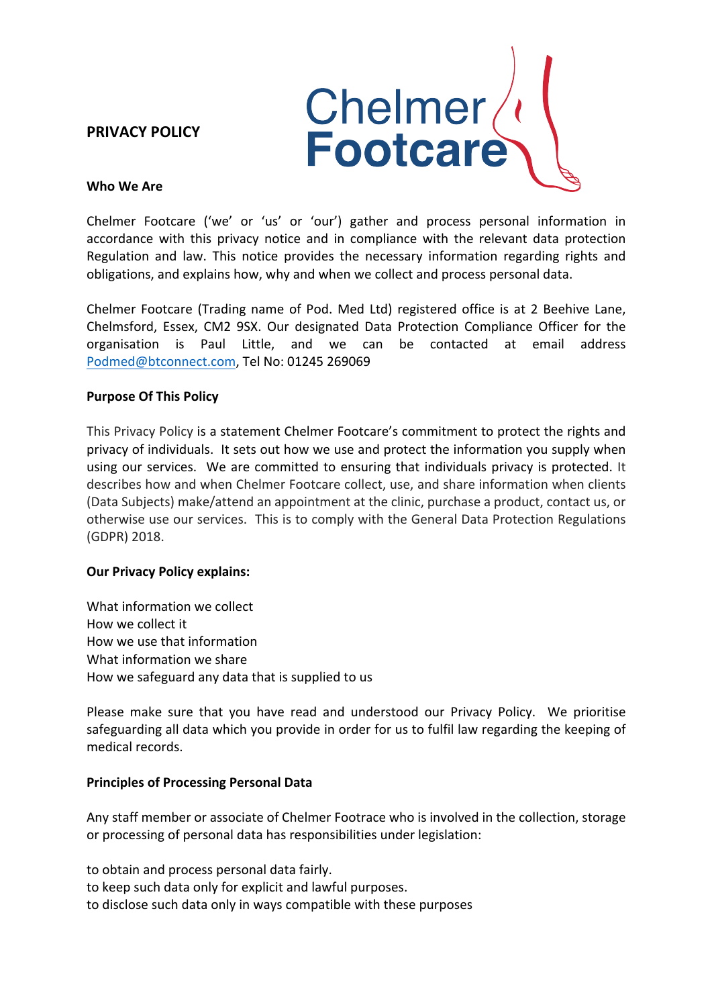# **PRIVACY POLICY**



### **Who We Are**

Chelmer Footcare ('we' or 'us' or 'our') gather and process personal information in accordance with this privacy notice and in compliance with the relevant data protection Regulation and law. This notice provides the necessary information regarding rights and obligations, and explains how, why and when we collect and process personal data.

Chelmer Footcare (Trading name of Pod. Med Ltd) registered office is at 2 Beehive Lane, Chelmsford, Essex, CM2 9SX. Our designated Data Protection Compliance Officer for the organisation is Paul Little, and we can be contacted at email address Podmed@btconnect.com, Tel No: 01245 269069

## **Purpose Of This Policy**

This Privacy Policy is a statement Chelmer Footcare's commitment to protect the rights and privacy of individuals. It sets out how we use and protect the information you supply when using our services. We are committed to ensuring that individuals privacy is protected. It describes how and when Chelmer Footcare collect, use, and share information when clients (Data Subjects) make/attend an appointment at the clinic, purchase a product, contact us, or otherwise use our services. This is to comply with the General Data Protection Regulations (GDPR) 2018.

## **Our Privacy Policy explains:**

What information we collect How we collect it How we use that information What information we share How we safeguard any data that is supplied to us

Please make sure that you have read and understood our Privacy Policy. We prioritise safeguarding all data which you provide in order for us to fulfil law regarding the keeping of medical records.

## **Principles of Processing Personal Data**

Any staff member or associate of Chelmer Footrace who is involved in the collection, storage or processing of personal data has responsibilities under legislation:

to obtain and process personal data fairly. to keep such data only for explicit and lawful purposes. to disclose such data only in ways compatible with these purposes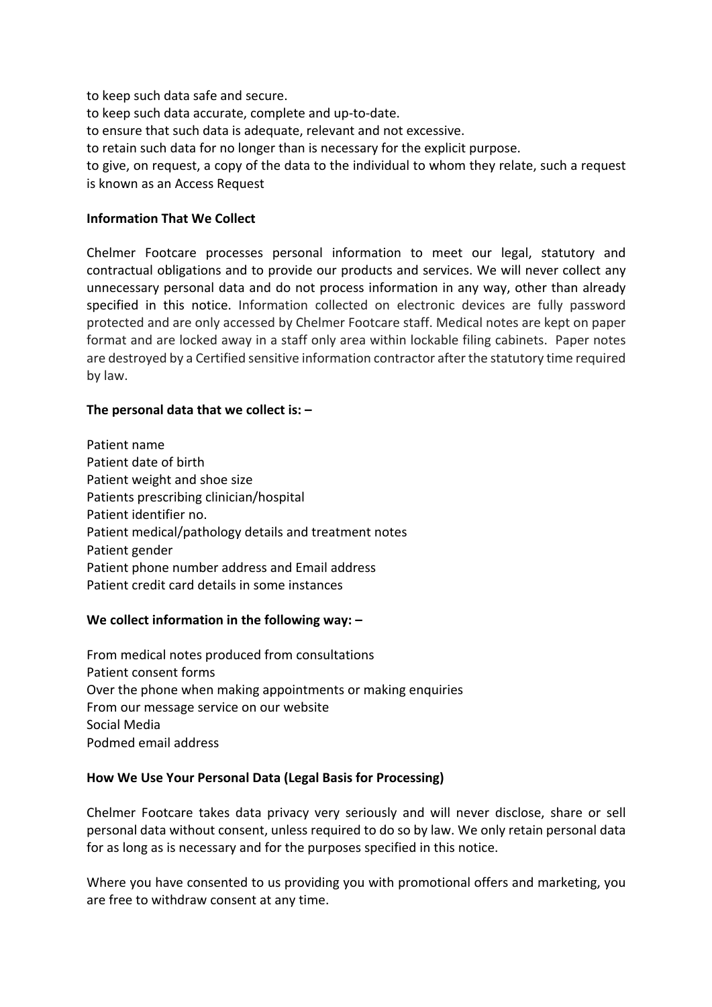to keep such data safe and secure.

to keep such data accurate, complete and up-to-date.

to ensure that such data is adequate, relevant and not excessive.

to retain such data for no longer than is necessary for the explicit purpose.

to give, on request, a copy of the data to the individual to whom they relate, such a request is known as an Access Request

## **Information That We Collect**

Chelmer Footcare processes personal information to meet our legal, statutory and contractual obligations and to provide our products and services. We will never collect any unnecessary personal data and do not process information in any way, other than already specified in this notice. Information collected on electronic devices are fully password protected and are only accessed by Chelmer Footcare staff. Medical notes are kept on paper format and are locked away in a staff only area within lockable filing cabinets. Paper notes are destroyed by a Certified sensitive information contractor after the statutory time required by law.

### The personal data that we collect is:  $-$

Patient name Patient date of birth Patient weight and shoe size Patients prescribing clinician/hospital Patient identifier no. Patient medical/pathology details and treatment notes Patient gender Patient phone number address and Email address Patient credit card details in some instances

#### We collect information in the following way:  $-$

From medical notes produced from consultations Patient consent forms Over the phone when making appointments or making enquiries From our message service on our website Social Media Podmed email address

#### How We Use Your Personal Data (Legal Basis for Processing)

Chelmer Footcare takes data privacy very seriously and will never disclose, share or sell personal data without consent, unless required to do so by law. We only retain personal data for as long as is necessary and for the purposes specified in this notice.

Where you have consented to us providing you with promotional offers and marketing, you are free to withdraw consent at any time.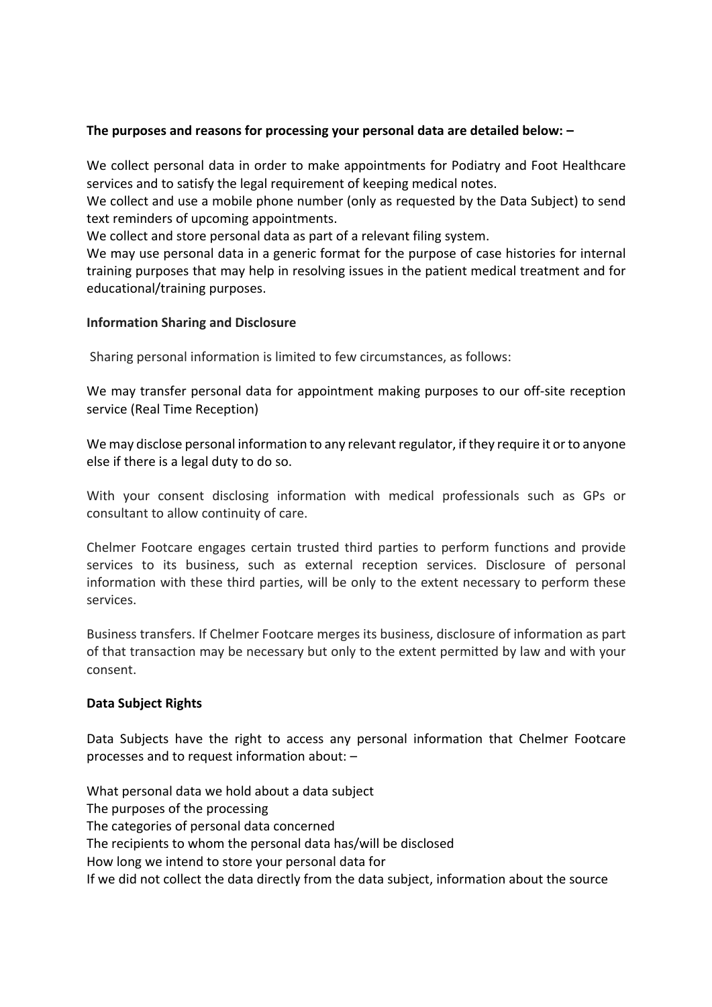# The purposes and reasons for processing your personal data are detailed below:  $-$

We collect personal data in order to make appointments for Podiatry and Foot Healthcare services and to satisfy the legal requirement of keeping medical notes.

We collect and use a mobile phone number (only as requested by the Data Subject) to send text reminders of upcoming appointments.

We collect and store personal data as part of a relevant filing system.

We may use personal data in a generic format for the purpose of case histories for internal training purposes that may help in resolving issues in the patient medical treatment and for educational/training purposes.

# **Information Sharing and Disclosure**

Sharing personal information is limited to few circumstances, as follows:

We may transfer personal data for appointment making purposes to our off-site reception service (Real Time Reception)

We may disclose personal information to any relevant regulator, if they require it or to anyone else if there is a legal duty to do so.

With your consent disclosing information with medical professionals such as GPs or consultant to allow continuity of care.

Chelmer Footcare engages certain trusted third parties to perform functions and provide services to its business, such as external reception services. Disclosure of personal information with these third parties, will be only to the extent necessary to perform these services.

Business transfers. If Chelmer Footcare merges its business, disclosure of information as part of that transaction may be necessary but only to the extent permitted by law and with your consent.

## **Data Subject Rights**

Data Subjects have the right to access any personal information that Chelmer Footcare processes and to request information about: -

What personal data we hold about a data subject The purposes of the processing The categories of personal data concerned The recipients to whom the personal data has/will be disclosed How long we intend to store your personal data for If we did not collect the data directly from the data subject, information about the source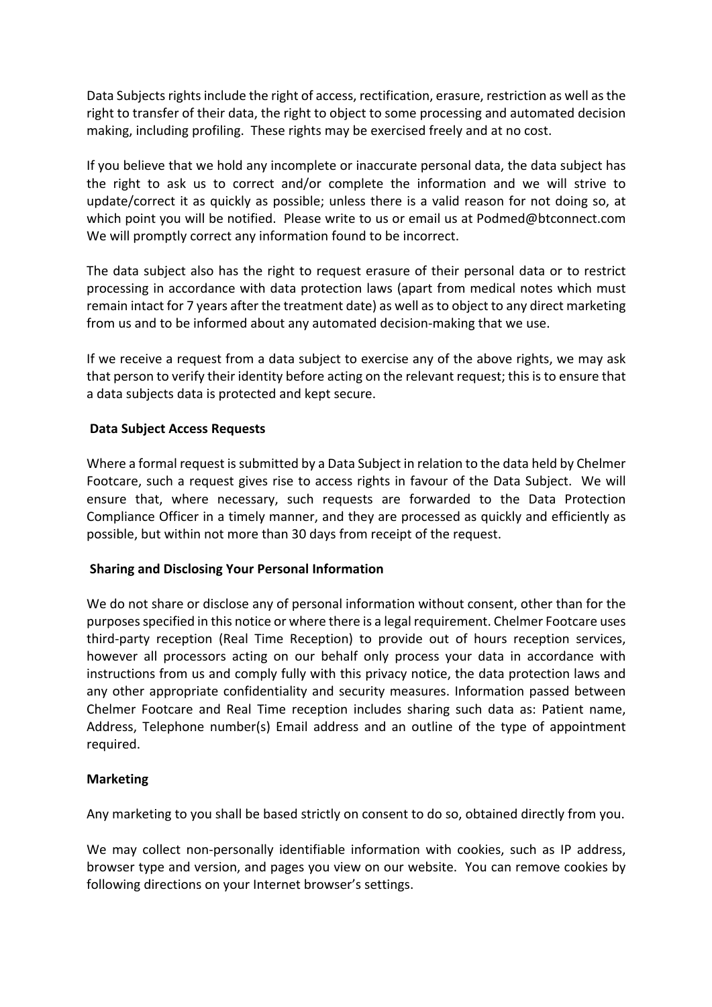Data Subjects rights include the right of access, rectification, erasure, restriction as well as the right to transfer of their data, the right to object to some processing and automated decision making, including profiling. These rights may be exercised freely and at no cost.

If you believe that we hold any incomplete or inaccurate personal data, the data subject has the right to ask us to correct and/or complete the information and we will strive to update/correct it as quickly as possible; unless there is a valid reason for not doing so, at which point you will be notified. Please write to us or email us at Podmed@btconnect.com We will promptly correct any information found to be incorrect.

The data subject also has the right to request erasure of their personal data or to restrict processing in accordance with data protection laws (apart from medical notes which must remain intact for 7 years after the treatment date) as well as to object to any direct marketing from us and to be informed about any automated decision-making that we use.

If we receive a request from a data subject to exercise any of the above rights, we may ask that person to verify their identity before acting on the relevant request; this is to ensure that a data subjects data is protected and kept secure.

# **Data Subject Access Requests**

Where a formal request is submitted by a Data Subject in relation to the data held by Chelmer Footcare, such a request gives rise to access rights in favour of the Data Subject. We will ensure that, where necessary, such requests are forwarded to the Data Protection Compliance Officer in a timely manner, and they are processed as quickly and efficiently as possible, but within not more than 30 days from receipt of the request.

# **Sharing and Disclosing Your Personal Information**

We do not share or disclose any of personal information without consent, other than for the purposes specified in this notice or where there is a legal requirement. Chelmer Footcare uses third-party reception (Real Time Reception) to provide out of hours reception services, however all processors acting on our behalf only process your data in accordance with instructions from us and comply fully with this privacy notice, the data protection laws and any other appropriate confidentiality and security measures. Information passed between Chelmer Footcare and Real Time reception includes sharing such data as: Patient name, Address, Telephone number(s) Email address and an outline of the type of appointment required.

## **Marketing**

Any marketing to you shall be based strictly on consent to do so, obtained directly from you.

We may collect non-personally identifiable information with cookies, such as IP address, browser type and version, and pages you view on our website. You can remove cookies by following directions on your Internet browser's settings.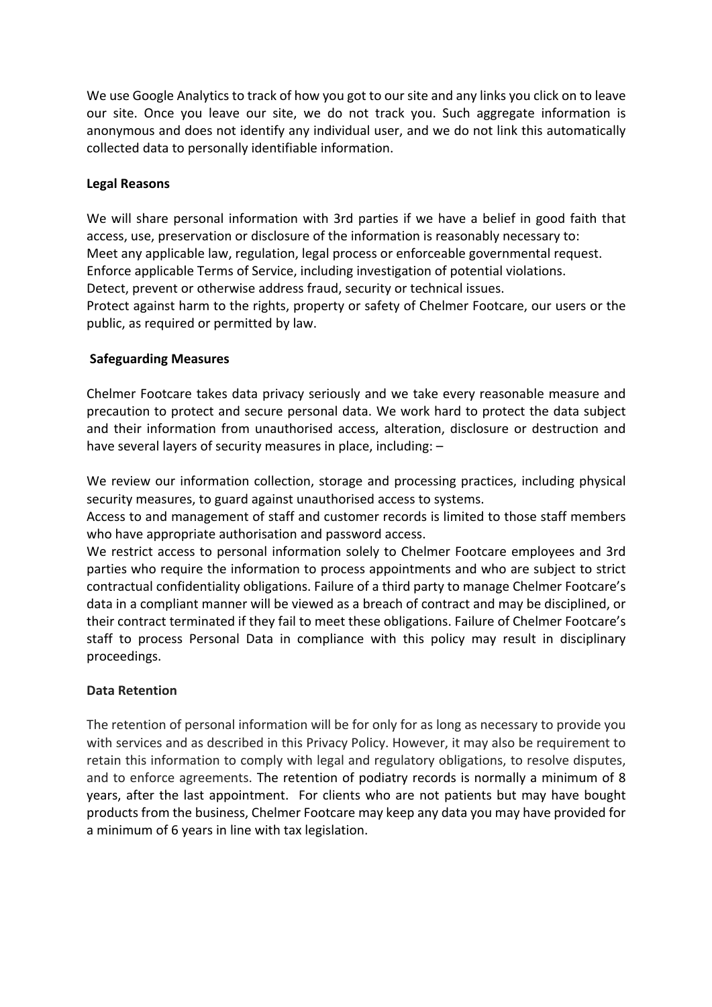We use Google Analytics to track of how you got to our site and any links you click on to leave our site. Once you leave our site, we do not track you. Such aggregate information is anonymous and does not identify any individual user, and we do not link this automatically collected data to personally identifiable information.

# **Legal Reasons**

We will share personal information with 3rd parties if we have a belief in good faith that access, use, preservation or disclosure of the information is reasonably necessary to: Meet any applicable law, regulation, legal process or enforceable governmental request. Enforce applicable Terms of Service, including investigation of potential violations. Detect, prevent or otherwise address fraud, security or technical issues.

Protect against harm to the rights, property or safety of Chelmer Footcare, our users or the public, as required or permitted by law.

# **Safeguarding Measures**

Chelmer Footcare takes data privacy seriously and we take every reasonable measure and precaution to protect and secure personal data. We work hard to protect the data subject and their information from unauthorised access, alteration, disclosure or destruction and have several layers of security measures in place, including: -

We review our information collection, storage and processing practices, including physical security measures, to guard against unauthorised access to systems.

Access to and management of staff and customer records is limited to those staff members who have appropriate authorisation and password access.

We restrict access to personal information solely to Chelmer Footcare employees and 3rd parties who require the information to process appointments and who are subject to strict contractual confidentiality obligations. Failure of a third party to manage Chelmer Footcare's data in a compliant manner will be viewed as a breach of contract and may be disciplined, or their contract terminated if they fail to meet these obligations. Failure of Chelmer Footcare's staff to process Personal Data in compliance with this policy may result in disciplinary proceedings.

## **Data Retention**

The retention of personal information will be for only for as long as necessary to provide you with services and as described in this Privacy Policy. However, it may also be requirement to retain this information to comply with legal and regulatory obligations, to resolve disputes, and to enforce agreements. The retention of podiatry records is normally a minimum of 8 years, after the last appointment. For clients who are not patients but may have bought products from the business, Chelmer Footcare may keep any data you may have provided for a minimum of 6 years in line with tax legislation.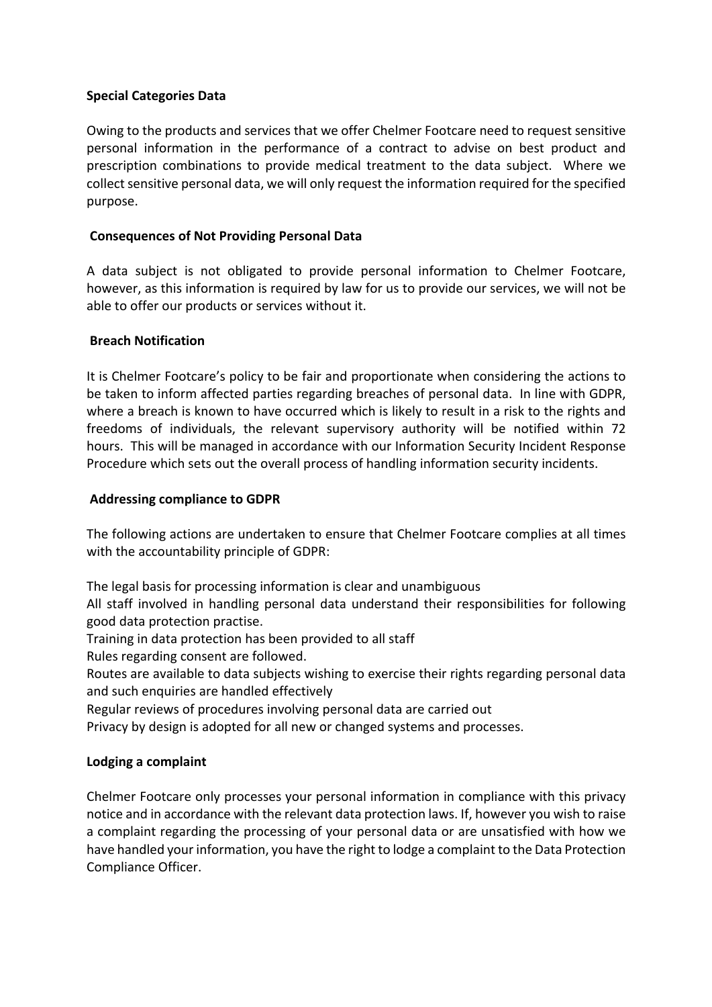# **Special Categories Data**

Owing to the products and services that we offer Chelmer Footcare need to request sensitive personal information in the performance of a contract to advise on best product and prescription combinations to provide medical treatment to the data subject. Where we collect sensitive personal data, we will only request the information required for the specified purpose.

# **Consequences of Not Providing Personal Data**

A data subject is not obligated to provide personal information to Chelmer Footcare, however, as this information is required by law for us to provide our services, we will not be able to offer our products or services without it.

# **Breach Notification**

It is Chelmer Footcare's policy to be fair and proportionate when considering the actions to be taken to inform affected parties regarding breaches of personal data. In line with GDPR, where a breach is known to have occurred which is likely to result in a risk to the rights and freedoms of individuals, the relevant supervisory authority will be notified within 72 hours. This will be managed in accordance with our Information Security Incident Response Procedure which sets out the overall process of handling information security incidents.

## **Addressing compliance to GDPR**

The following actions are undertaken to ensure that Chelmer Footcare complies at all times with the accountability principle of GDPR:

The legal basis for processing information is clear and unambiguous

All staff involved in handling personal data understand their responsibilities for following good data protection practise.

Training in data protection has been provided to all staff

Rules regarding consent are followed.

Routes are available to data subjects wishing to exercise their rights regarding personal data and such enquiries are handled effectively

Regular reviews of procedures involving personal data are carried out

Privacy by design is adopted for all new or changed systems and processes.

## **Lodging a complaint**

Chelmer Footcare only processes your personal information in compliance with this privacy notice and in accordance with the relevant data protection laws. If, however you wish to raise a complaint regarding the processing of your personal data or are unsatisfied with how we have handled your information, you have the right to lodge a complaint to the Data Protection Compliance Officer.